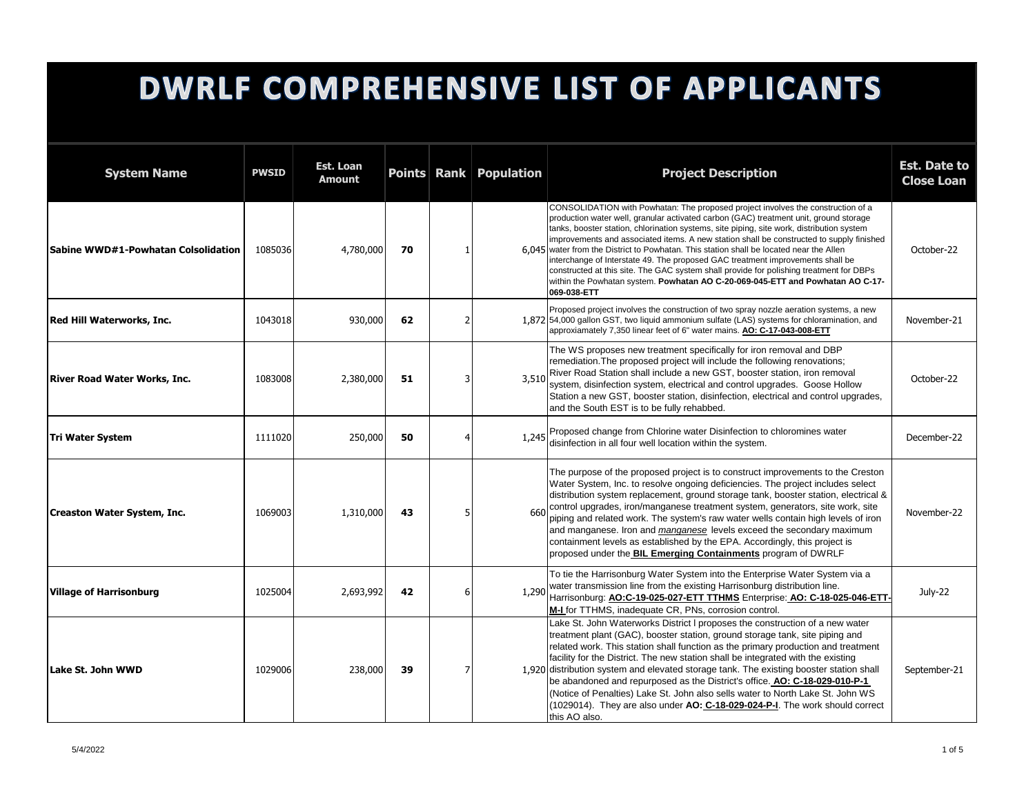## **DWRLF COMPREHENSIVE LIST OF APPLICANTS**

| <b>System Name</b>                  | <b>PWSID</b> | Est. Loan<br>Amount |    |   | Points Rank Population | <b>Project Description</b>                                                                                                                                                                                                                                                                                                                                                                                                                                                                                                                                                                                                                                                                                                                  | <b>Est. Date to</b><br><b>Close Loan</b> |
|-------------------------------------|--------------|---------------------|----|---|------------------------|---------------------------------------------------------------------------------------------------------------------------------------------------------------------------------------------------------------------------------------------------------------------------------------------------------------------------------------------------------------------------------------------------------------------------------------------------------------------------------------------------------------------------------------------------------------------------------------------------------------------------------------------------------------------------------------------------------------------------------------------|------------------------------------------|
| Sabine WWD#1-Powhatan Colsolidation | 1085036      | 4,780,000           | 70 | 1 |                        | CONSOLIDATION with Powhatan: The proposed project involves the construction of a<br>production water well, granular activated carbon (GAC) treatment unit, ground storage<br>tanks, booster station, chlorination systems, site piping, site work, distribution system<br>improvements and associated items. A new station shall be constructed to supply finished<br>6.045 water from the District to Powhatan. This station shall be located near the Allen<br>interchange of Interstate 49. The proposed GAC treatment improvements shall be<br>constructed at this site. The GAC system shall provide for polishing treatment for DBPs<br>within the Powhatan system. Powhatan AO C-20-069-045-ETT and Powhatan AO C-17-<br>069-038-ETT | October-22                               |
| Red Hill Waterworks, Inc.           | 1043018      | 930,000             | 62 | 2 |                        | Proposed project involves the construction of two spray nozzle aeration systems, a new<br>1,872 54,000 gallon GST, two liquid ammonium sulfate (LAS) systems for chloramination, and<br>approxiamately 7,350 linear feet of 6" water mains. AO: C-17-043-008-ETT                                                                                                                                                                                                                                                                                                                                                                                                                                                                            | November-21                              |
| <b>River Road Water Works, Inc.</b> | 1083008      | 2,380,000           | 51 | 3 | 3,510                  | The WS proposes new treatment specifically for iron removal and DBP<br>remediation. The proposed project will include the following renovations;<br>River Road Station shall include a new GST, booster station, iron removal<br>system, disinfection system, electrical and control upgrades. Goose Hollow<br>Station a new GST, booster station, disinfection, electrical and control upgrades,<br>and the South EST is to be fully rehabbed.                                                                                                                                                                                                                                                                                             | October-22                               |
| <b>Tri Water System</b>             | 1111020      | 250,000             | 50 |   | 1,245                  | Proposed change from Chlorine water Disinfection to chloromines water<br>disinfection in all four well location within the system.                                                                                                                                                                                                                                                                                                                                                                                                                                                                                                                                                                                                          | December-22                              |
| <b>Creaston Water System, Inc.</b>  | 1069003      | 1,310,000           | 43 | 5 | 660                    | The purpose of the proposed project is to construct improvements to the Creston<br>Water System, Inc. to resolve ongoing deficiencies. The project includes select<br>distribution system replacement, ground storage tank, booster station, electrical &<br>control upgrades, iron/manganese treatment system, generators, site work, site<br>piping and related work. The system's raw water wells contain high levels of iron<br>and manganese. Iron and manganese levels exceed the secondary maximum<br>containment levels as established by the EPA. Accordingly, this project is<br>proposed under the BIL Emerging Containments program of DWRLF                                                                                    | November-22                              |
| <b>Village of Harrisonburg</b>      | 1025004      | 2,693,992           | 42 | 6 | 1,290                  | To tie the Harrisonburg Water System into the Enterprise Water System via a<br>water transmission line from the existing Harrisonburg distribution line.<br>Harrisonburg: AO:C-19-025-027-ETT TTHMS Enterprise: AO: C-18-025-046-ETT-<br>M-I for TTHMS, inadequate CR, PNs, corrosion control.                                                                                                                                                                                                                                                                                                                                                                                                                                              | July-22                                  |
| Lake St. John WWD                   | 1029006      | 238,000             | 39 | 7 |                        | Lake St. John Waterworks District I proposes the construction of a new water<br>treatment plant (GAC), booster station, ground storage tank, site piping and<br>related work. This station shall function as the primary production and treatment<br>facility for the District. The new station shall be integrated with the existing<br>1,920 distribution system and elevated storage tank. The existing booster station shall<br>be abandoned and repurposed as the District's office. AO: C-18-029-010-P-1<br>(Notice of Penalties) Lake St. John also sells water to North Lake St. John WS<br>(1029014). They are also under AO: C-18-029-024-P-I. The work should correct<br>this AO also.                                           | September-21                             |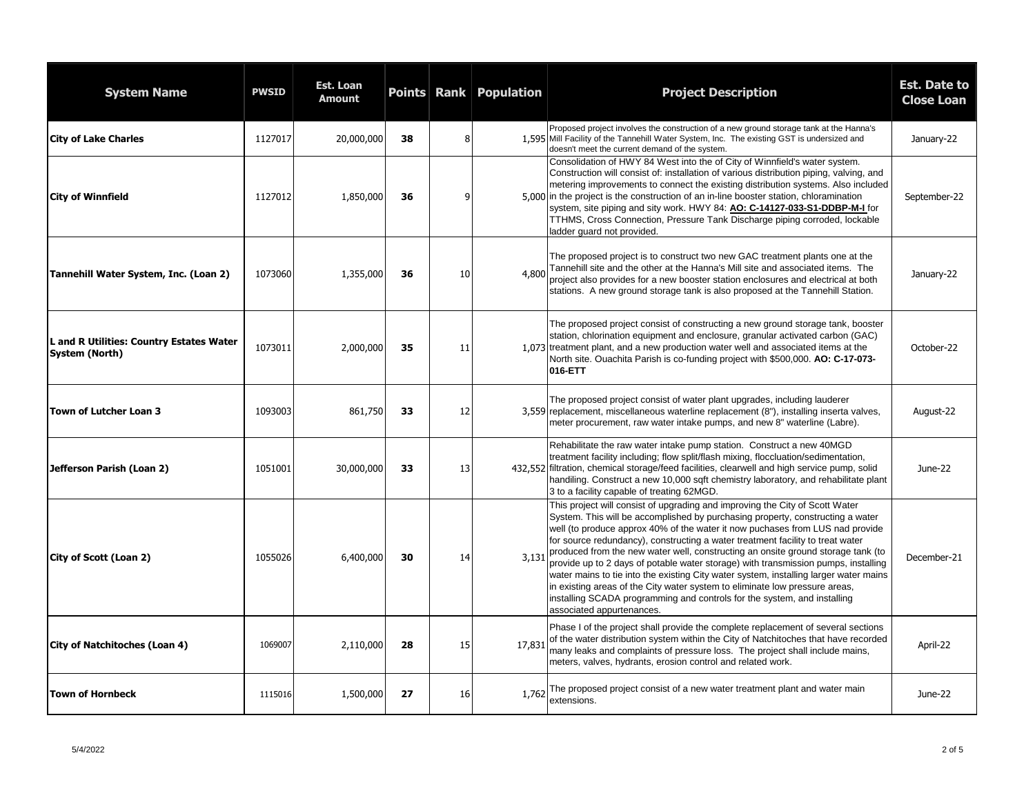| <b>System Name</b>                                         | <b>PWSID</b> | Est. Loan<br><b>Amount</b> |    |           | Points Rank Population | <b>Project Description</b>                                                                                                                                                                                                                                                                                                                                                                                                                                                                                                                                                                                                                                                                                                                                                                   | <b>Est. Date to</b><br><b>Close Loan</b> |
|------------------------------------------------------------|--------------|----------------------------|----|-----------|------------------------|----------------------------------------------------------------------------------------------------------------------------------------------------------------------------------------------------------------------------------------------------------------------------------------------------------------------------------------------------------------------------------------------------------------------------------------------------------------------------------------------------------------------------------------------------------------------------------------------------------------------------------------------------------------------------------------------------------------------------------------------------------------------------------------------|------------------------------------------|
| <b>City of Lake Charles</b>                                | 1127017      | 20,000,000                 | 38 | 8         |                        | Proposed project involves the construction of a new ground storage tank at the Hanna's<br>1,595 Mill Facility of the Tannehill Water System, Inc. The existing GST is undersized and<br>doesn't meet the current demand of the system.                                                                                                                                                                                                                                                                                                                                                                                                                                                                                                                                                       | January-22                               |
| <b>City of Winnfield</b>                                   | 1127012      | 1,850,000                  | 36 | 9         |                        | Consolidation of HWY 84 West into the of City of Winnfield's water system.<br>Construction will consist of: installation of various distribution piping, valving, and<br>metering improvements to connect the existing distribution systems. Also included<br>5,000 in the project is the construction of an in-line booster station, chloramination<br>system, site piping and sity work. HWY 84: AO: C-14127-033-S1-DDBP-M-I for<br>TTHMS, Cross Connection, Pressure Tank Discharge piping corroded, lockable<br>ladder quard not provided.                                                                                                                                                                                                                                               | September-22                             |
| Tannehill Water System, Inc. (Loan 2)                      | 1073060      | 1,355,000                  | 36 | 10        | 4,800                  | The proposed project is to construct two new GAC treatment plants one at the<br>Tannehill site and the other at the Hanna's Mill site and associated items. The<br>project also provides for a new booster station enclosures and electrical at both<br>stations. A new ground storage tank is also proposed at the Tannehill Station.                                                                                                                                                                                                                                                                                                                                                                                                                                                       | January-22                               |
| L and R Utilities: Country Estates Water<br>System (North) | 1073011      | 2,000,000                  | 35 | 11        |                        | The proposed project consist of constructing a new ground storage tank, booster<br>station, chlorination equipment and enclosure, granular activated carbon (GAC)<br>1.073 treatment plant, and a new production water well and associated items at the<br>North site. Ouachita Parish is co-funding project with \$500,000. AO: C-17-073-<br>016-ETT                                                                                                                                                                                                                                                                                                                                                                                                                                        | October-22                               |
| Town of Lutcher Loan 3                                     | 1093003      | 861,750                    | 33 | 12        |                        | The proposed project consist of water plant upgrades, including lauderer<br>3,559 replacement, miscellaneous waterline replacement (8"), installing inserta valves,<br>meter procurement, raw water intake pumps, and new 8" waterline (Labre).                                                                                                                                                                                                                                                                                                                                                                                                                                                                                                                                              | August-22                                |
| Jefferson Parish (Loan 2)                                  | 1051001      | 30,000,000                 | 33 | 13        |                        | Rehabilitate the raw water intake pump station. Construct a new 40MGD<br>treatment facility including; flow split/flash mixing, floccluation/sedimentation,<br>432,552 filtration, chemical storage/feed facilities, clearwell and high service pump, solid<br>handiling. Construct a new 10,000 sqft chemistry laboratory, and rehabilitate plant<br>3 to a facility capable of treating 62MGD.                                                                                                                                                                                                                                                                                                                                                                                             | June-22                                  |
| City of Scott (Loan 2)                                     | 1055026      | 6,400,000                  | 30 | 14        | 3,131                  | This project will consist of upgrading and improving the City of Scott Water<br>System. This will be accomplished by purchasing property, constructing a water<br>well (to produce approx 40% of the water it now puchases from LUS nad provide<br>for source redundancy), constructing a water treatment facility to treat water<br>produced from the new water well, constructing an onsite ground storage tank (to<br>provide up to 2 days of potable water storage) with transmission pumps, installing<br>water mains to tie into the existing City water system, installing larger water mains<br>in existing areas of the City water system to eliminate low pressure areas,<br>installing SCADA programming and controls for the system, and installing<br>associated appurtenances. | December-21                              |
| City of Natchitoches (Loan 4)                              | 1069007      | 2,110,000                  | 28 | 15        | 17,831                 | Phase I of the project shall provide the complete replacement of several sections<br>of the water distribution system within the City of Natchitoches that have recorded<br>many leaks and complaints of pressure loss. The project shall include mains,<br>meters, valves, hydrants, erosion control and related work.                                                                                                                                                                                                                                                                                                                                                                                                                                                                      | April-22                                 |
| lTown of Hornbeck                                          | 1115016      | 1,500,000                  | 27 | <b>16</b> | 1,762                  | The proposed project consist of a new water treatment plant and water main<br>extensions.                                                                                                                                                                                                                                                                                                                                                                                                                                                                                                                                                                                                                                                                                                    | June-22                                  |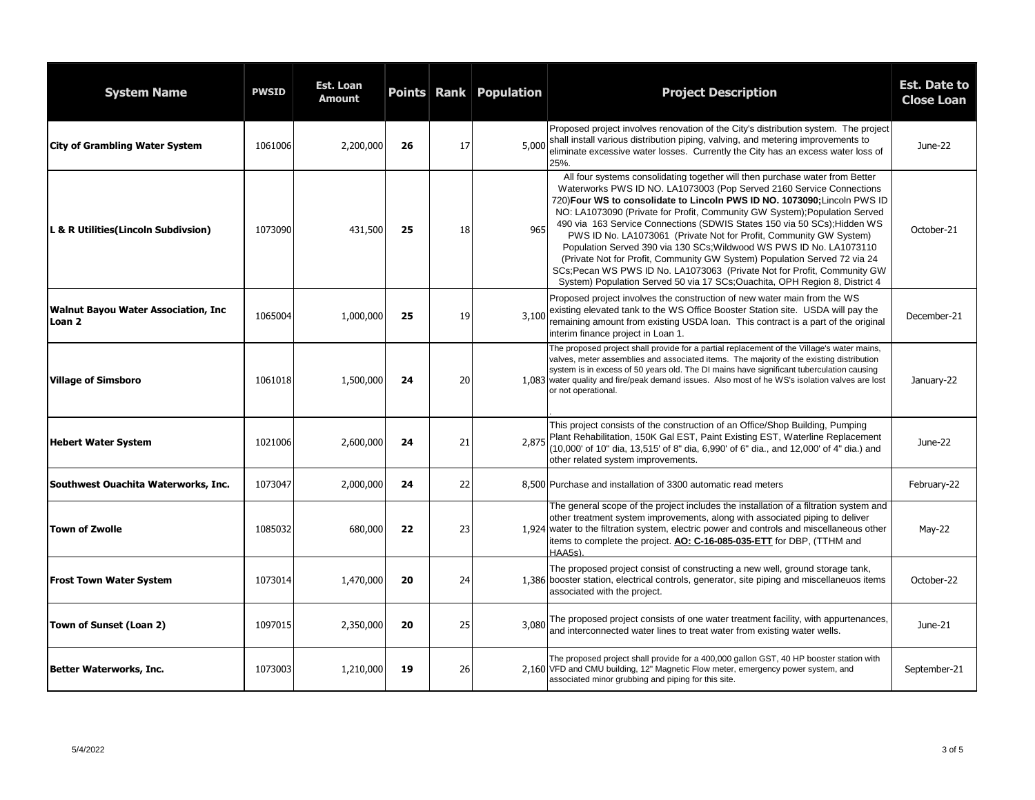| <b>System Name</b>                            | <b>PWSID</b> | Est. Loan<br><b>Amount</b> |    |    | <b>Points Rank Population</b> | <b>Project Description</b>                                                                                                                                                                                                                                                                                                                                                                                                                                                                                                                                                                                                                                                                                                                                                       | Est. Date to<br><b>Close Loan</b> |
|-----------------------------------------------|--------------|----------------------------|----|----|-------------------------------|----------------------------------------------------------------------------------------------------------------------------------------------------------------------------------------------------------------------------------------------------------------------------------------------------------------------------------------------------------------------------------------------------------------------------------------------------------------------------------------------------------------------------------------------------------------------------------------------------------------------------------------------------------------------------------------------------------------------------------------------------------------------------------|-----------------------------------|
| <b>City of Grambling Water System</b>         | 1061006      | 2,200,000                  | 26 | 17 | 5,000                         | Proposed project involves renovation of the City's distribution system. The project<br>shall install various distribution piping, valving, and metering improvements to<br>eliminate excessive water losses. Currently the City has an excess water loss of<br>25%.                                                                                                                                                                                                                                                                                                                                                                                                                                                                                                              | June-22                           |
| L & R Utilities (Lincoln Subdivsion)          | 1073090      | 431,500                    | 25 | 18 | 965                           | All four systems consolidating together will then purchase water from Better<br>Waterworks PWS ID NO. LA1073003 (Pop Served 2160 Service Connections<br>720) Four WS to consolidate to Lincoln PWS ID NO. 1073090; Lincoln PWS ID<br>NO: LA1073090 (Private for Profit, Community GW System); Population Served<br>490 via 163 Service Connections (SDWIS States 150 via 50 SCs); Hidden WS<br>PWS ID No. LA1073061 (Private Not for Profit, Community GW System)<br>Population Served 390 via 130 SCs; Wildwood WS PWS ID No. LA1073110<br>(Private Not for Profit, Community GW System) Population Served 72 via 24<br>SCs; Pecan WS PWS ID No. LA1073063 (Private Not for Profit, Community GW<br>System) Population Served 50 via 17 SCs; Ouachita, OPH Region 8, District 4 | October-21                        |
| Walnut Bayou Water Association, Inc<br>Loan 2 | 1065004      | 1,000,000                  | 25 | 19 | 3,100                         | Proposed project involves the construction of new water main from the WS<br>existing elevated tank to the WS Office Booster Station site. USDA will pay the<br>remaining amount from existing USDA loan. This contract is a part of the original<br>interim finance project in Loan 1.                                                                                                                                                                                                                                                                                                                                                                                                                                                                                           | December-21                       |
| <b>Village of Simsboro</b>                    | 1061018      | 1,500,000                  | 24 | 20 |                               | The proposed project shall provide for a partial replacement of the Village's water mains,<br>valves, meter assemblies and associated items. The majority of the existing distribution<br>system is in excess of 50 years old. The DI mains have significant tuberculation causing<br>1,083 water quality and fire/peak demand issues. Also most of he WS's isolation valves are lost<br>or not operational.                                                                                                                                                                                                                                                                                                                                                                     | January-22                        |
| <b>Hebert Water System</b>                    | 1021006      | 2,600,000                  | 24 | 21 | 2,875                         | This project consists of the construction of an Office/Shop Building, Pumping<br>Plant Rehabilitation, 150K Gal EST, Paint Existing EST, Waterline Replacement<br>(10,000' of 10" dia, 13,515' of 8" dia, 6,990' of 6" dia., and 12,000' of 4" dia.) and<br>other related system improvements.                                                                                                                                                                                                                                                                                                                                                                                                                                                                                   | June-22                           |
| Southwest Ouachita Waterworks, Inc.           | 1073047      | 2,000,000                  | 24 | 22 |                               | 8.500 Purchase and installation of 3300 automatic read meters                                                                                                                                                                                                                                                                                                                                                                                                                                                                                                                                                                                                                                                                                                                    | February-22                       |
| <b>Town of Zwolle</b>                         | 1085032      | 680,000                    | 22 | 23 |                               | The general scope of the project includes the installation of a filtration system and<br>other treatment system improvements, along with associated piping to deliver<br>1.924 water to the filtration system, electric power and controls and miscellaneous other<br>items to complete the project. AO: C-16-085-035-ETT for DBP, (TTHM and<br>HAA5s).                                                                                                                                                                                                                                                                                                                                                                                                                          | May-22                            |
| <b>Frost Town Water System</b>                | 1073014      | 1,470,000                  | 20 | 24 |                               | The proposed project consist of constructing a new well, ground storage tank,<br>1,386 booster station, electrical controls, generator, site piping and miscellaneuos items<br>associated with the project.                                                                                                                                                                                                                                                                                                                                                                                                                                                                                                                                                                      | October-22                        |
| Town of Sunset (Loan 2)                       | 1097015      | 2,350,000                  | 20 | 25 | 3,080                         | The proposed project consists of one water treatment facility, with appurtenances,<br>and interconnected water lines to treat water from existing water wells.                                                                                                                                                                                                                                                                                                                                                                                                                                                                                                                                                                                                                   | June-21                           |
| Better Waterworks, Inc.                       | 1073003      | 1,210,000                  | 19 | 26 |                               | The proposed project shall provide for a 400,000 gallon GST, 40 HP booster station with<br>2.160 VFD and CMU building, 12" Magnetic Flow meter, emergency power system, and<br>associated minor grubbing and piping for this site.                                                                                                                                                                                                                                                                                                                                                                                                                                                                                                                                               | September-21                      |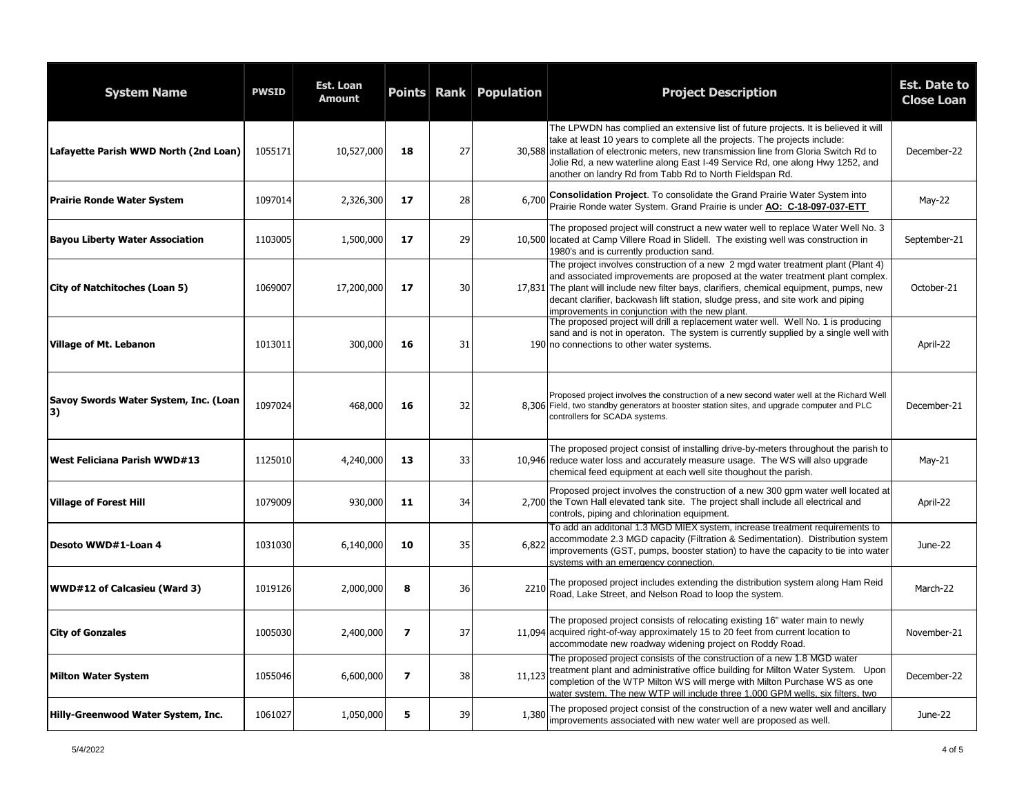| <b>System Name</b>                          | <b>PWSID</b> | <b>Est. Loan</b><br>Amount |                | Points Rank | <b>Population</b> | <b>Project Description</b>                                                                                                                                                                                                                                                                                                                                                                                 | <b>Est. Date to</b><br><b>Close Loan</b> |
|---------------------------------------------|--------------|----------------------------|----------------|-------------|-------------------|------------------------------------------------------------------------------------------------------------------------------------------------------------------------------------------------------------------------------------------------------------------------------------------------------------------------------------------------------------------------------------------------------------|------------------------------------------|
| Lafayette Parish WWD North (2nd Loan)       | 1055171      | 10,527,000                 | 18             | 27          |                   | The LPWDN has complied an extensive list of future projects. It is believed it will<br>take at least 10 years to complete all the projects. The projects include:<br>30,588 installation of electronic meters, new transmission line from Gloria Switch Rd to<br>Jolie Rd, a new waterline along East I-49 Service Rd, one along Hwy 1252, and<br>another on landry Rd from Tabb Rd to North Fieldspan Rd. | December-22                              |
| <b>Prairie Ronde Water System</b>           | 1097014      | 2,326,300                  | 17             | 28          | 6,700             | Consolidation Project. To consolidate the Grand Prairie Water System into<br>Prairie Ronde water System. Grand Prairie is under AO: C-18-097-037-ETT                                                                                                                                                                                                                                                       | $May-22$                                 |
| <b>Bayou Liberty Water Association</b>      | 1103005      | 1,500,000                  | 17             | 29          |                   | The proposed project will construct a new water well to replace Water Well No. 3<br>10,500 located at Camp Villere Road in Slidell. The existing well was construction in<br>1980's and is currently production sand.                                                                                                                                                                                      | September-21                             |
| <b>City of Natchitoches (Loan 5)</b>        | 1069007      | 17,200,000                 | 17             | 30          |                   | The project involves construction of a new 2 mgd water treatment plant (Plant 4)<br>and associated improvements are proposed at the water treatment plant complex.<br>17,831 The plant will include new filter bays, clarifiers, chemical equipment, pumps, new<br>decant clarifier, backwash lift station, sludge press, and site work and piping<br>improvements in conjunction with the new plant.      | October-21                               |
| <b>Village of Mt. Lebanon</b>               | 1013011      | 300,000                    | 16             | 31          |                   | The proposed project will drill a replacement water well. Well No. 1 is producing<br>sand and is not in operaton. The system is currently supplied by a single well with<br>190 no connections to other water systems.                                                                                                                                                                                     | April-22                                 |
| Savoy Swords Water System, Inc. (Loan<br>3) | 1097024      | 468,000                    | 16             | 32          |                   | Proposed project involves the construction of a new second water well at the Richard Well<br>8,306 Field, two standby generators at booster station sites, and upgrade computer and PLC<br>controllers for SCADA systems.                                                                                                                                                                                  | December-21                              |
| West Feliciana Parish WWD#13                | 1125010      | 4,240,000                  | 13             | 33          |                   | The proposed project consist of installing drive-by-meters throughout the parish to<br>10,946 reduce water loss and accurately measure usage. The WS will also upgrade<br>chemical feed equipment at each well site thoughout the parish.                                                                                                                                                                  | May-21                                   |
| <b>Village of Forest Hill</b>               | 1079009      | 930,000                    | 11             | 34          |                   | Proposed project involves the construction of a new 300 gpm water well located at<br>2,700 the Town Hall elevated tank site. The project shall include all electrical and<br>controls, piping and chlorination equipment.                                                                                                                                                                                  | April-22                                 |
| Desoto WWD#1-Loan 4                         | 1031030      | 6,140,000                  | 10             | 35          | 6,822             | To add an additonal 1.3 MGD MIEX system, increase treatment requirements to<br>accommodate 2.3 MGD capacity (Filtration & Sedimentation). Distribution system<br>improvements (GST, pumps, booster station) to have the capacity to tie into water<br>systems with an emergency connection.                                                                                                                | June-22                                  |
| <b>WWD#12 of Calcasieu (Ward 3)</b>         | 1019126      | 2,000,000                  | 8              | -36 I       | 2210              | The proposed project includes extending the distribution system along Ham Reid<br>Road, Lake Street, and Nelson Road to loop the system.                                                                                                                                                                                                                                                                   | March-22                                 |
| <b>City of Gonzales</b>                     | 1005030      | 2,400,000                  | $\overline{ }$ | 37          |                   | The proposed project consists of relocating existing 16" water main to newly<br>11,094 acquired right-of-way approximately 15 to 20 feet from current location to<br>accommodate new roadway widening project on Roddy Road.                                                                                                                                                                               | November-21                              |
| <b>Milton Water System</b>                  | 1055046      | 6,600,000                  | $\overline{ }$ | 38          | 11,123            | The proposed project consists of the construction of a new 1.8 MGD water<br>treatment plant and administrative office building for Milton Water System. Upon<br>completion of the WTP Milton WS will merge with Milton Purchase WS as one<br>water system. The new WTP will include three 1,000 GPM wells, six filters, two                                                                                | December-22                              |
| Hilly-Greenwood Water System, Inc.          | 1061027      | 1,050,000                  | 5              | 39          | 1,380             | The proposed project consist of the construction of a new water well and ancillary<br>improvements associated with new water well are proposed as well.                                                                                                                                                                                                                                                    | June-22                                  |